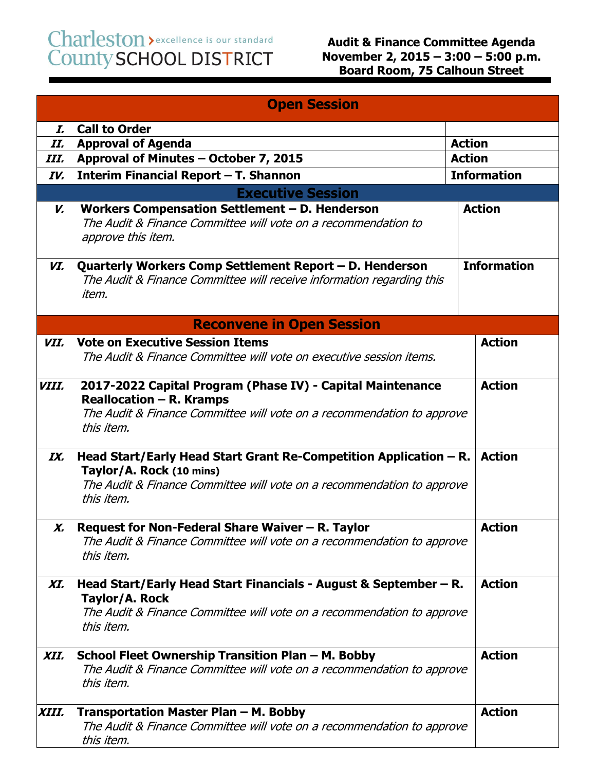Charleston > excellence is our standard<br>County SCHOOL DISTRICT

|                          | <b>Open Session</b>                                                                                                                                                                   |                    |  |  |
|--------------------------|---------------------------------------------------------------------------------------------------------------------------------------------------------------------------------------|--------------------|--|--|
| I.                       | <b>Call to Order</b>                                                                                                                                                                  |                    |  |  |
| II.                      | <b>Approval of Agenda</b>                                                                                                                                                             | <b>Action</b>      |  |  |
| III.                     | Approval of Minutes - October 7, 2015                                                                                                                                                 | <b>Action</b>      |  |  |
| IV.                      | Interim Financial Report - T. Shannon                                                                                                                                                 | <b>Information</b> |  |  |
| <b>Executive Session</b> |                                                                                                                                                                                       |                    |  |  |
| V.                       | Workers Compensation Settlement - D. Henderson<br>The Audit & Finance Committee will vote on a recommendation to<br>approve this item.                                                | <b>Action</b>      |  |  |
| VI.                      | Quarterly Workers Comp Settlement Report - D. Henderson<br>The Audit & Finance Committee will receive information regarding this<br>item.                                             | <b>Information</b> |  |  |
|                          | <b>Reconvene in Open Session</b>                                                                                                                                                      |                    |  |  |
| VII.                     | <b>Vote on Executive Session Items</b><br>The Audit & Finance Committee will vote on executive session items.                                                                         | <b>Action</b>      |  |  |
| VIII.                    | 2017-2022 Capital Program (Phase IV) - Capital Maintenance<br>Reallocation - R. Kramps<br>The Audit & Finance Committee will vote on a recommendation to approve<br>this item.        | <b>Action</b>      |  |  |
| IX.                      | Head Start/Early Head Start Grant Re-Competition Application - R.<br>Taylor/A. Rock (10 mins)<br>The Audit & Finance Committee will vote on a recommendation to approve<br>this item. | <b>Action</b>      |  |  |
| Х.                       | Request for Non-Federal Share Waiver - R. Taylor<br>The Audit & Finance Committee will vote on a recommendation to approve<br>this item.                                              | <b>Action</b>      |  |  |
| XI.                      | Head Start/Early Head Start Financials - August & September – R.<br>Taylor/A. Rock<br>The Audit & Finance Committee will vote on a recommendation to approve<br>this item.            | <b>Action</b>      |  |  |
| XII.                     | School Fleet Ownership Transition Plan - M. Bobby<br>The Audit & Finance Committee will vote on a recommendation to approve<br>this item.                                             | <b>Action</b>      |  |  |
| XIII.                    | Transportation Master Plan - M. Bobby<br>The Audit & Finance Committee will vote on a recommendation to approve<br>this item.                                                         | <b>Action</b>      |  |  |